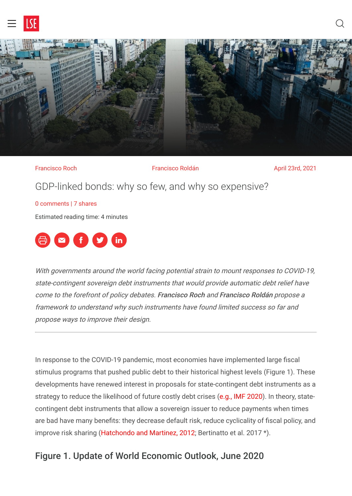



Francisco Roch **Francisco Roldán** April 23rd, 2021 GDP-linked bonds: why so few, and why so expensive? [0 comments](#page-5-0) | 7 shares

Estimated reading time: 4 minutes



With governments around the world facing potential strain to mount responses to COVID-19, state-contingent sovereign debt instruments that would provide automatic debt relief have come to the forefront of policy debates. Francisco Roch and Francisco Roldán propose a framework to understand why such instruments have found limited success so far and propose ways to improve their design.

In response to the COVID-19 pandemic, most economies have implemented large fiscal stimulus programs that pushed public debt to their historical highest levels (Figure 1). These developments have renewed interest in proposals for state-contingent debt instruments as a strategy to reduce the likelihood of future costly debt crises [\(e.g., IMF 2020\)](https://www.imf.org/en/Publications/Staff-Discussion-Notes/Issues/2020/11/13/The-Role-of-State-Contingent-Debt-Instruments-in-Sovereign-Debt-Restructurings-49732). In theory, statecontingent debt instruments that allow a sovereign issuer to reduce payments when times are bad have many benefits: they decrease default risk, reduce cyclicality of fiscal policy, and improve risk sharing [\(Hatchondo and Martinez, 2012;](https://www.richmondfed.org/~/media/richmondfedorg/publications/research/economic_quarterly/2012/q2/pdf/hatchondo.pdf) Bertinatto et al. 2017 \*).

## Figure 1. Update of World Economic Outlook, June 2020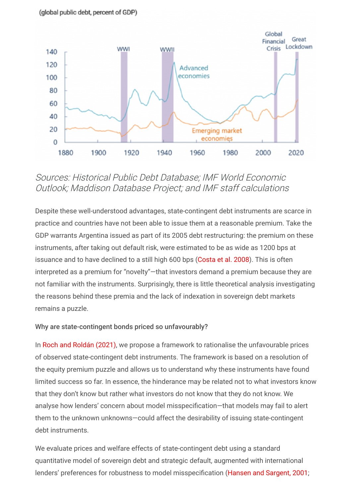

# Sources: Historical Public Debt Database; IMF World Economic Outlook; Maddison Database Project; and IMF staff calculations

Despite these well-understood advantages, state-contingent debt instruments are scarce in practice and countries have not been able to issue them at a reasonable premium. Take the GDP warrants Argentina issued as part of its 2005 debt restructuring: the premium on these instruments, after taking out default risk, were estimated to be as wide as 1200 bps at issuance and to have declined to a still high 600 bps [\(Costa et al. 2008](https://www.imf.org/en/Publications/WP/Issues/2016/12/31/Is-There-a-Novelty-Premium-on-New-Financial-Instruments-The-Argentine-Experience-with-GDP-21851)). This is often interpreted as a premium for "novelty"—that investors demand a premium because they are not familiar with the instruments. Surprisingly, there is little theoretical analysis investigating the reasons behind these premia and the lack of indexation in sovereign debt markets remains a puzzle.

### Why are state-contingent bonds priced so unfavourably?

In [Roch and Roldán \(2021\)](https://docs.google.com/viewer?a=v&pid=sites&srcid=ZGVmYXVsdGRvbWFpbnxmcmFucm9jaHxneDo3OTA5ZmNmMDQwN2I3ODc0), we propose a framework to rationalise the unfavourable prices of observed state-contingent debt instruments. The framework is based on a resolution of the equity premium puzzle and allows us to understand why these instruments have found limited success so far. In essence, the hinderance may be related not to what investors know that they don't know but rather what investors do not know that they do not know. We analyse how lenders' concern about model misspecification-that models may fail to alert them to the unknown unknowns—could affect the desirability of issuing state-contingent debt instruments.

We evaluate prices and welfare effects of state-contingent debt using a standard quantitative model of sovereign debt and strategic default, augmented with international lenders' preferences for robustness to model misspecification ([Hansen and Sargent, 2001;](https://www.aeaweb.org/articles?id=10.1257/aer.91.2.60)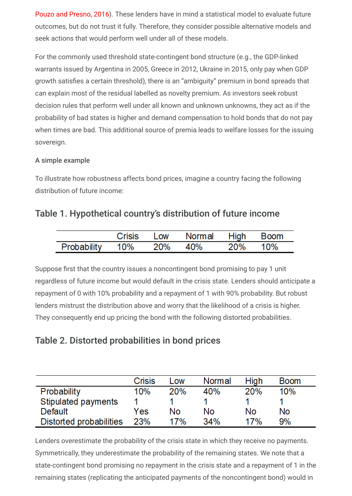[Pouzo and Presno, 2016\)](https://www.aeaweb.org/articles?id=10.1257/mac.20140337). These lenders have in mind a statistical model to evaluate future outcomes, but do not trust it fully. Therefore, they consider possible alternative models and seek actions that would perform well under all of these models.

For the commonly used threshold state-contingent bond structure (e.g., the GDP-linked warrants issued by Argentina in 2005, Greece in 2012, Ukraine in 2015, only pay when GDP growth satisfies a certain threshold), there is an "ambiguity" premium in bond spreads that can explain most of the residual labelled as novelty premium. As investors seek robust decision rules that perform well under all known and unknown unknowns, they act as if the probability of bad states is higher and demand compensation to hold bonds that do not pay when times are bad. This additional source of premia leads to welfare losses for the issuing sovereign.

## A simple example

To illustrate how robustness affects bond prices, imagine a country facing the following distribution of future income:

## Table 1. Hypothetical country's distribution of future income

|             | Crisis | $\mathsf{Low}$ | Normal High |     | <b>Boom</b> |
|-------------|--------|----------------|-------------|-----|-------------|
| Probability | 10%    | <b>20%</b>     | 40%         | 20% | 10%         |

Suppose first that the country issues a noncontingent bond promising to pay 1 unit regardless of future income but would default in the crisis state. Lenders should anticipate a repayment of 0 with 10% probability and a repayment of 1 with 90% probability. But robust lenders mistrust the distribution above and worry that the likelihood of a crisis is higher. They consequently end up pricing the bond with the following distorted probabilities.

# Table 2. Distorted probabilities in bond prices

|                         | Crisis | Low | Normal | High | <b>Boom</b> |
|-------------------------|--------|-----|--------|------|-------------|
| Probability             | 10%    | 20% | 40%    | 20%  | 10%         |
| Stipulated payments     |        |     |        |      |             |
| Default                 | Yes    | No  | No     | No   | No          |
| Distorted probabilities | 23%    | 17% | 34%    | 17%  | 9%          |

Lenders overestimate the probability of the crisis state in which they receive no payments. Symmetrically, they underestimate the probability of the remaining states. We note that a state-contingent bond promising no repayment in the crisis state and a repayment of 1 in the remaining states (replicating the anticipated payments of the noncontingent bond) would in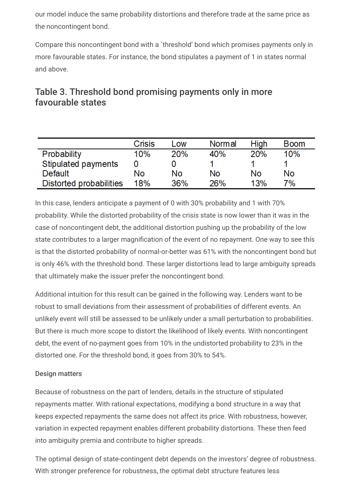our model induce the same probability distortions and therefore trade at the same price as the noncontingent bond.

Compare this noncontingent bond with a `threshold' bond which promises payments only in more favourable states. For instance, the bond stipulates a payment of 1 in states normal and above.

|                         | Crisis | Low        | <b>Normal</b> | <b>High</b> | <b>Boom</b> |
|-------------------------|--------|------------|---------------|-------------|-------------|
| Probability             | 10%    | <b>20%</b> | 40%           | <b>20%</b>  | 10%         |
| Stipulated payments     |        |            |               |             |             |
| Default                 | No     | No         | No            | No          | No          |
| Distorted probabilities | 18%    | 36%        | 26%           | 13%         | 7%          |

# Table 3. Threshold bond promising payments only in more favourable states

In this case, lenders anticipate a payment of 0 with 30% probability and 1 with 70% probability. While the distorted probability of the crisis state is now lower than it was in the case of noncontingent debt, the additional distortion pushing up the probability of the low state contributes to a larger magnification of the event of no repayment. One way to see this is that the distorted probability of normal-or-better was 61% with the noncontingent bond but is only 46% with the threshold bond. These larger distortions lead to large ambiguity spreads that ultimately make the issuer prefer the noncontingent bond.

Additional intuition for this result can be gained in the following way. Lenders want to be robust to small deviations from their assessment of probabilities of different events. An unlikely event will still be assessed to be unlikely under a small perturbation to probabilities. But there is much more scope to distort the likelihood of likely events. With noncontingent debt, the event of no-payment goes from 10% in the undistorted probability to 23% in the distorted one. For the threshold bond, it goes from 30% to 54%.

## Design matters

Because of robustness on the part of lenders, details in the structure of stipulated repayments matter. With rational expectations, modifying a bond structure in a way that keeps expected repayments the same does not affect its price. With robustness, however, variation in expected repayment enables different probability distortions. These then feed into ambiguity premia and contribute to higher spreads.

The optimal design of state-contingent debt depends on the investors' degree of robustness. With stronger preference for robustness, the optimal debt structure features less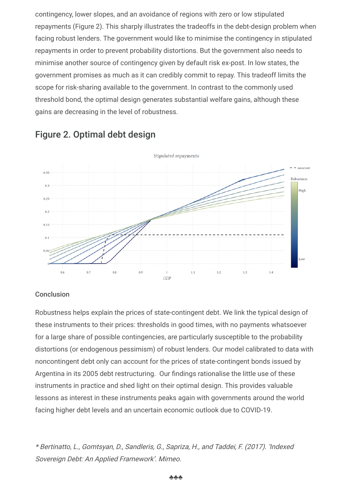contingency, lower slopes, and an avoidance of regions with zero or low stipulated repayments (Figure 2). This sharply illustrates the tradeoffs in the debt-design problem when facing robust lenders. The government would like to minimise the contingency in stipulated repayments in order to prevent probability distortions. But the government also needs to minimise another source of contingency given by default risk ex-post. In low states, the government promises as much as it can credibly commit to repay. This tradeoff limits the scope for risk-sharing available to the government. In contrast to the commonly used threshold bond, the optimal design generates substantial welfare gains, although these gains are decreasing in the level of robustness.



## Figure 2. Optimal debt design

#### **Conclusion**

Robustness helps explain the prices of state-contingent debt. We link the typical design of these instruments to their prices: thresholds in good times, with no payments whatsoever for a large share of possible contingencies, are particularly susceptible to the probability distortions (or endogenous pessimism) of robust lenders. Our model calibrated to data with noncontingent debt only can account for the prices of state-contingent bonds issued by Argentina in its 2005 debt restructuring. Our findings rationalise the little use of these instruments in practice and shed light on their optimal design. This provides valuable lessons as interest in these instruments peaks again with governments around the world facing higher debt levels and an uncertain economic outlook due to COVID-19.

\* Bertinatto, L., Gomtsyan, D., Sandleris, G., Sapriza, H., and Taddei, F. (2017). 'Indexed Sovereign Debt: An Applied Framework'. Mimeo.